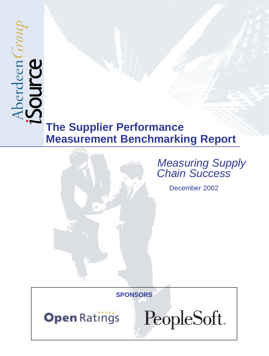# $\mathcal{E}_{\mathcal{L}}$

# **The Supplier Performance Measurement Benchmarking Report**



# Measuring Supply **Chain Success**

December 2002

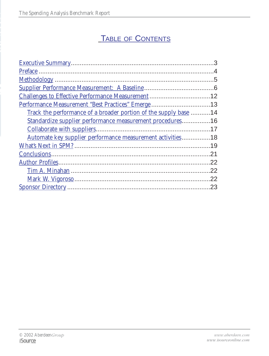# TABLE OF CONTENTS

| Performance Measurement "Best Practices" Emerge 13                |         |
|-------------------------------------------------------------------|---------|
| Track the performance of a broader portion of the supply base 14  |         |
| Standardize supplier performance measurement procedures16         |         |
|                                                                   |         |
| <u>Automate key supplier performance measurement activities18</u> |         |
|                                                                   | .19     |
|                                                                   | 21      |
|                                                                   |         |
|                                                                   | 22      |
|                                                                   | $22 \,$ |
|                                                                   | .23     |
|                                                                   |         |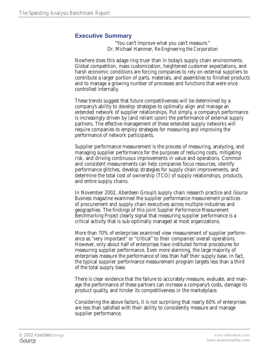#### **Executive Summary**

"You can't improve what you can't measure." Dr. Michael Hammer, *Re-Engineering the Corporation*

Nowhere does this adage ring truer than in today's supply chain environments. Global competition, mass customization, heightened customer expectations, and harsh economic conditions are forcing companies to rely on external suppliers to contribute a larger portion of parts, materials, and assemblies to finished products and to manage a growing number of processes and functions that were once controlled internally.

These trends suggest that future competitiveness will be determined by a company's ability to develop strategies to optimally align and manage an extended network of supplier relationships. Put simply, a company's performance is increasingly driven by (and reliant upon) the performance of external supply partners. The effective management of these extended supply networks will require companies to employ strategies for measuring and improving the performance of network participants.

Supplier performance measurement is the process of measuring, analyzing, and managing supplier performance for the purposes of reducing costs, mitigating risk, and driving continuous improvements in value and operations. Common and consistent measurements can help companies focus resources, identify performance glitches, develop strategies for supply chain improvements, and determine the total cost of ownership (TCO) of supply relationships, products, and entire supply chains.

In November 2002, Aberdeen Group's supply chain research practice and *iSource Business* magazine examined the supplier performance measurement practices of procurement and supply chain executives across multiple industries and geographies. The findings of this joint *Supplier Performance Measurement Benchmarking Project* clearly signal that measuring supplier performance is a critical activity that is sub-optimally managed at most organizations.

More than 70% of enterprises examined view measurement of supplier performance as "very important" or "critical" to their companies' overall operations. However, only about half of enterprises have instituted formal procedures for measuring supplier performance. Even more alarming, the large majority of enterprises measure the performance of less than half their supply base. In fact, the typical supplier performance measurement program targets less than a third of the total supply base.

There is clear evidence that the failure to accurately measure, evaluate, and manage the performance of these partners can increase a company's costs, damage its product quality, and hinder its competitiveness in the marketplace.

Considering the above factors, it is not surprising that nearly 60% of enterprises are less than satisfied with their ability to consistently measure and manage supplier performance.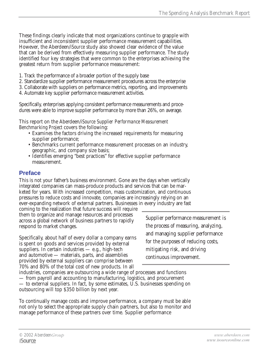These findings clearly indicate that most organizations continue to grapple with insufficient and inconsistent supplier performance measurement capabilities. However, the Aberdeen/*iSource* study also showed clear evidence of the value that can be derived from effectively measuring supplier performance. The study identified four key strategies that were common to the enterprises achieving the greatest return from supplier performance measurement:

- 1. Track the performance of a broader portion of the supply base
- 2. Standardize supplier performance measurement procedures across the enterprise
- 3. Collaborate with suppliers on performance metrics, reporting, and improvements
- 4. Automate key supplier performance measurement activities.

Specifically, enterprises applying consistent performance measurements and procedures were able to improve supplier performance by more than 26%, on average.

This report on the Aberdeen/*iSource Supplier Performance Measurement Benchmarking Project* covers the following:

- Examines the factors driving the increased requirements for measuring supplier performance;
- Benchmarks current performance measurement processes on an industry, geographic, and company size basis;
- Identifies emerging "best practices" for effective supplier performance measurement.

#### **Preface**

This is not your father's business environment. Gone are the days when vertically integrated companies can mass-produce products and services that can be marketed for years. With increased competition, mass customization, and continuous pressures to reduce costs and innovate, companies are increasingly relying on an ever-expanding network of external partners. Businesses in every industry are fast

coming to the realization that future success will require them to organize and manage resources and processes across a global network of business partners to rapidly respond to market changes.

Specifically, about half of every dollar a company earns is spent on goods and services provided by external suppliers. In certain industries — e.g., high-tech and automotive — materials, parts, and assemblies provided by external suppliers can comprise between 70% and 80% of the total cost of new products. In all

Supplier performance measurement is the process of measuring, analyzing, and managing supplier performance for the purposes of reducing costs, mitigating risk, and driving continuous improvement.

industries, companies are outsourcing a wide range of processes and functions — from payroll and accounting to manufacturing, logistics, and procurement — to external suppliers. In fact, by some estimates, U.S. businesses spending on outsourcing will top \$350 billion by next year.

To continually manage costs and improve performance, a company must be able not only to select the appropriate supply chain partners, but also to monitor and manage performance of these partners over time. Supplier performance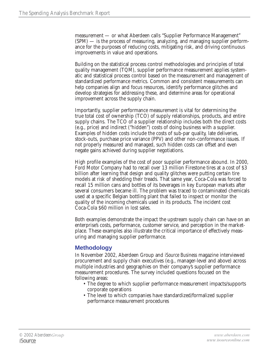measurement — or what Aberdeen calls "Supplier Performance Management" (SPM) — is the process of measuring, analyzing, and managing supplier performance for the purposes of reducing costs, mitigating risk, and driving continuous improvements in value and operations.

Building on the statistical process control methodologies and principles of total quality management (TQM), supplier performance measurement applies systematic and statistical process control based on the measurement and management of standardized performance metrics. Common and consistent measurements can help companies align and focus resources, identify performance glitches and develop strategies for addressing these, and determine areas for operational improvement across the supply chain.

Importantly, supplier performance measurement is vital for determining the true total cost of ownership (TCO) of supply relationships, products, and entire supply chains. The TCO of a supplier relationship includes both the direct costs (e.g., price) and indirect ("hidden") costs of doing business with a supplier. Examples of hidden costs include the costs of sub-par quality, late deliveries, stock-outs, purchase price variance (PPV) and other non-conformance issues. If not properly measured and managed, such hidden costs can offset and even negate gains achieved during supplier negotiations.

High profile examples of the cost of poor supplier performance abound. In 2000, Ford Motor Company had to recall over 13 million Firestone tires at a cost of \$3 billion after learning that design and quality glitches were putting certain tire models at risk of shedding their treads. That same year, Coca-Cola was forced to recall 15 million cans and bottles of its beverages in key European markets after several consumers became ill. The problem was traced to contaminated chemicals used at a specific Belgian bottling plant that failed to inspect or monitor the quality of the incoming chemicals used in its products. The incident cost Coca-Cola \$60 million in lost sales.

Both examples demonstrate the impact the upstream supply chain can have on an enterprise's costs, performance, customer service, and perception in the marketplace. These examples also illustrate the critical importance of effectively measuring and managing supplier performance.

#### **Methodology**

In November 2002, Aberdeen Group and *iSource Business* magazine interviewed procurement and supply chain executives (e.g., manager-level and above) across multiple industries and geographies on their company's supplier performance measurement procedures. The survey included questions focused on the following areas:

- The degree to which supplier performance measurement impacts/supports corporate operations
- The level to which companies have standardized/formalized supplier performance measurement procedures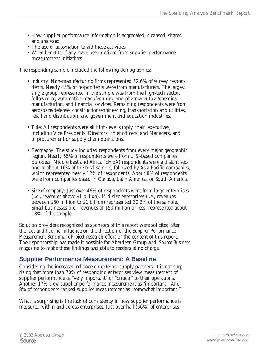- How supplier performance information is aggregated, cleansed, shared and analyzed
- The use of automation to aid these activities
- What benefits, if any, have been derived from supplier performance measurement initiatives

The responding sample included the following demographics:

- *Industry*: Non-manufacturing firms represented 52.6% of survey respondents. Nearly 45% of respondents were from manufacturers. The largest single group represented in the sample was from the high-tech sector, followed by automotive manufacturing and pharmaceutical/chemical manufacturing, and financial services. Remaining respondents were from aerospace/defense, construction/engineering, transportation and utilities, retail and distribution, and government and education industries.
- *Title*: All respondents were all high-level supply chain executives, including Vice Presidents, Directors, chief officers, and Managers, and of procurement or supply chain operations.
- *Geography*: The study included respondents from every major geographic region. Nearly 65% of respondents were from U.S.-based companies. European Middle East and Africa (EMEA) respondents were a distant second at about 16% of the total sample, followed by Asia-Pacific companies, which represented nearly 12% of respondents. About 8% of respondents were from companies based in Canada, Latin America, or South America.
- *Size of company*: Just over 46% of respondents were from large enterprises (i.e., revenues above \$1 billion). Mid-size enterprises (i.e., revenues between \$50 million to \$1 billion) represented 30.2% of the sample., Small businesses (i.e., revenues of \$50 million or less) represented about 18% of the sample.

Solution providers recognized as sponsors of this report were solicited after the fact and had no influence on the direction of the *Supplier Performance Measurement Benchmark Project* research effort or the content of this report. Their sponsorship has made it possible for Aberdeen Group and *iSource Business* magazine to make these findings available to readers at no charge.

#### **Supplier Performance Measurement: A Baseline**

Considering the increased reliance on external supply partners, it is not surprising that more than 70% of responding enterprises view measurement of supplier performance as "very important" or "critical" to their operations. Another 17% view supplier performance measurement as "important." And 8% of respondents ranked supplier measurement as "somewhat important."

What is surprising is the lack of consistency in how supplier performance is measured within and across enterprises. Just over half (56%) of enterprises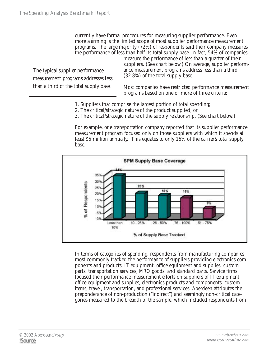currently have formal procedures for measuring supplier performance. Even more alarming is the limited scope of most supplier performance measurement programs. The large majority ( $72\%$ ) of respondents said their company measures the performance of less than half its total supply base. In fact, 54% of companies

The typical supplier performance measurement programs addresses less than a third of the total supply base.

measure the performance of less than a quarter of their suppliers. (See chart below.) On average, supplier performance measurement programs address less than a third (32.8%) of the total supply base.

Most companies have restricted performance measurement programs based on one or more of three criteria:

- 1. Suppliers that comprise the largest portion of total spending;
- 2. The critical/strategic nature of the product supplied; or
- 3. The critical/strategic nature of the supply relationship. (See chart below.)

For example, one transportation company reported that its supplier performance measurement program focused only on those suppliers with which it spends at least \$5 million annually. This equates to only 15% of the carrier's total supply base.



In terms of categories of spending, respondents from manufacturing companies most commonly tracked the performance of suppliers providing electronics components and products, IT equipment, office equipment and supplies, custom parts, transportation services, MRO goods, and standard parts. Service firms focused their performance measurement efforts on suppliers of IT equipment, office equipment and supplies, electronics products and components, custom items, travel, transportation, and professional services. Aberdeen attributes the preponderance of non-production ("indirect") and seemingly non-critical categories measured to the breadth of the sample, which included respondents from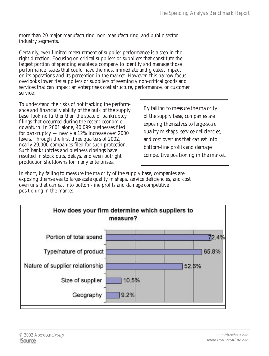more than 20 major manufacturing, non-manufacturing, and public sector industry segments.

Certainly, even limited measurement of supplier performance is a step in the right direction. Focusing on critical suppliers or suppliers that constitute the largest portion of spending enables a company to identify and manage those performance issues that could have the most immediate and greatest impact on its operations and its perception in the market. However, this narrow focus overlooks lower tier suppliers or suppliers of seemingly non-critical goods and services that can impact an enterprise's cost structure, performance, or customer service.

To understand the risks of not tracking the performance and financial viability of the bulk of the supply base, look no further than the spate of bankruptcy filings that occurred during the recent economic downturn. In 2001 alone, 40,099 businesses filed for bankruptcy — nearly a 12% increase over 2000 levels. Through the first three quarters of 2002, nearly 29,000 companies filed for such protection. Such bankruptcies and business closings have resulted in stock outs, delays, and even outright production shutdowns for many enterprises.

By failing to measure the majority of the supply base, companies are exposing themselves to large-scale quality mishaps, service deficiencies, and cost overruns that can eat into bottom-line profits and damage competitive positioning in the market.

In short, by failing to measure the majority of the supply base, companies are exposing themselves to large-scale quality mishaps, service deficiencies, and cost overruns that can eat into bottom-line profits and damage competitive positioning in the market.

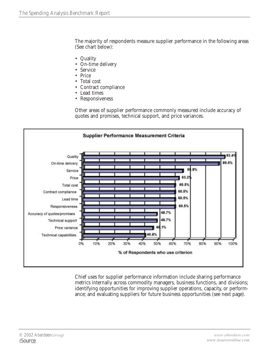The majority of respondents measure supplier performance in the following areas (See chart below):

- Quality
- On-time delivery
- Service
- Price
- Total cost
- Contract compliance
- Lead times
- Responsiveness

Other areas of supplier performance commonly measured include accuracy of quotes and promises, technical support, and price variances.



Chief uses for supplier performance information include sharing performance metrics internally across commodity managers, business functions, and divisions; identifying opportunities for improving supplier operations, capacity, or performance; and evaluating suppliers for future business opportunities (see next page).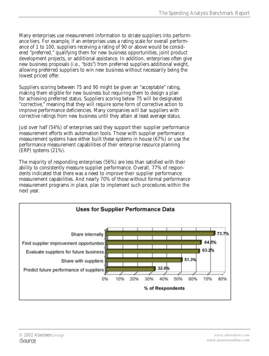Many enterprises use measurement information to striate suppliers into performance tiers. For example, if an enterprises uses a rating scale for overall performance of 1 to 100, suppliers receiving a rating of 90 or above would be considered "preferred," qualifying them for new business opportunities, joint product development projects, or additional assistance. In addition, enterprises often give new business proposals (i.e., "bids") from preferred suppliers additional weight, allowing preferred suppliers to win new business without necessarily being the lowest priced offer.

Suppliers scoring between 75 and 90 might be given an "acceptable" rating, making them eligible for new business but requiring them to design a plan for achieving preferred status. Suppliers scoring below 75 will be designated "corrective," meaning that they will require some form of corrective action to improve performance deficiencies. Many companies will bar suppliers with corrective ratings from new business until they attain at least average status.

Just over half (54%) of enterprises said they support their supplier performance measurement efforts with automation tools. Those with supplier performance measurement systems have either built these systems in house (67%) or use the performance measurement capabilities of their enterprise resource planning (ERP) systems (21%).

The majority of responding enterprises (56%) are less than satisfied with their ability to consistently measure supplier performance. Overall, 77% of respondents indicated that there was a need to improve their supplier performance measurement capabilities. And nearly 70% of those without formal performance measurement programs in place, plan to implement such procedures within the next year.

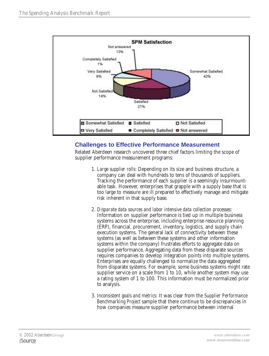

#### **Challenges to Effective Performance Measurement**

Related Aberdeen research uncovered three chief factors limiting the scope of supplier performance measurement programs:

- 1. *Large supplier rolls*: Depending on its size and business structure, a company can deal with hundreds to tens of thousands of suppliers. Tracking the performance of each supplier is a seemingly insurmountable task. However, enterprises that grapple with a supply base that is too large to measure are ill prepared to effectively manage and mitigate risk inherent in that supply base.
- 2. *Disparate data sources and labor intensive data collection processes*: Information on supplier performance is tied up in multiple business systems across the enterprise, including enterprise resource planning (ERP), financial, procurement, inventory, logistics, and supply chain execution systems. The general lack of connectivity between these systems (as well as between these systems and other information systems within the company) frustrates efforts to aggregate data on supplier performance. Aggregating data from these disparate sources requires companies to develop integration points into multiple systems. Enterprises are equally challenged to normalize the data aggregated from disparate systems. For example, some business systems might rate supplier service on a scale from 1 to 10, while another system may use a rating system of 1 to 100. This information must be normalized prior to analysis.
- 3. *Inconsistent goals and metrics*: It was clear from the *Supplier Performance Benchmarking Project* sample that there continue to be discrepancies in how companies measure supplier performance between internal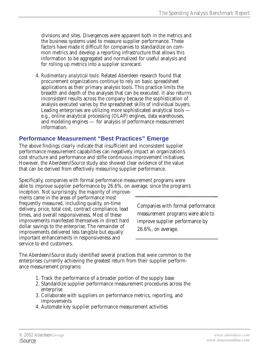divisions and sites. Divergences were apparent both in the metrics and the business systems used to measure supplier performance. These factors have made it difficult for companies to standardize on common metrics and develop a reporting infrastructure that allows this information to be aggregated and normalized for useful analysis and for rolling up metrics into a supplier scorecard.

4. *Rudimentary analytical tools*: Related Aberdeen research found that procurement organizations continue to rely on basic spreadsheet applications as their primary analysis tools. This practice limits the breadth and depth of the analyses that can be executed. It also returns inconsistent results across the company because the sophistication of analysis executed varies by the spreadsheet skills of individual buyers. Leading enterprises are utilizing more sophisticated analytical tools e.g., online analytical processing (OLAP) engines, data warehouses, and modeling engines — for analysis of performance measurement information.

#### **Performance Measurement "Best Practices" Emerge**

The above findings clearly indicate that insufficient and inconsistent supplier performance measurement capabilities can negatively impact an organization's cost structure and performance and stifle continuous improvement initiatives*.* However, the Aberdeen/*iSource* study also showed clear evidence of the value that can be derived from effectively measuring supplier performance.

Specifically, companies with formal performance measurement programs were able to improve supplier performance by 26.6%, on average, since the program's

inception. Not surprisingly, the majority of improvements came in the areas of performance most frequently measured, including quality, on-time delivery, price, total cost, contract compliance, lead times, and overall responsiveness. Most of these improvements manifested themselves in direct hard dollar savings to the enterprise. The remainder of improvements delivered less tangible but equally important enhancements in responsiveness and service to end customers.

Companies with formal performance measurement programs were able to improve supplier performance by 26.6%, on average.

The Aberdeen/*iSource* study identified several practices that were common to the enterprises currently achieving the greatest return from their supplier performance measurement programs:

- 1. Track the performance of a broader portion of the supply base
- 2. Standardize supplier performance measurement procedures across the enterprise
- 3. Collaborate with suppliers on performance metrics, reporting, and improvements
- 4. Automate key supplier performance measurement activities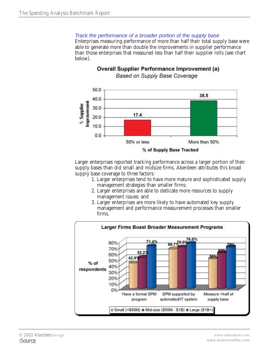#### Track the performance of a broader portion of the supply base

Enterprises measuring performance of more than half their total supply base were able to generate more than double the improvements in supplier performance than those enterprises that measured less than half their supplier rolls (see chart below).



**Overall Supplier Performance Improvement (a)** Based on Supply Base Coverage

Larger enterprises reported tracking performance across a larger portion of their supply bases than did small and midsize firms. Aberdeen attributes this broad supply base coverage to three factors:

- 1. Larger enterprises tend to have more mature and sophisticated supply management strategies than smaller firms;
- 2. Larger enterprises are able to dedicate more resources to supply management issues; and
- 3. Larger enterprises are more likely to have automated key supply management and performance measurement processes than smaller firms.

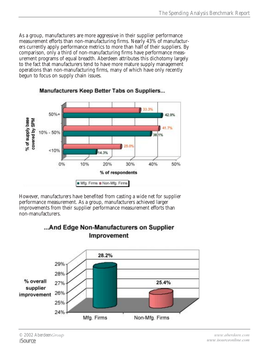As a group, manufacturers are more aggressive in their supplier performance measurement efforts than non-manufacturing firms. Nearly 43% of manufacturers currently apply performance metrics to more than half of their suppliers. By comparison, only a third of non-manufacturing firms have performance measurement programs of equal breadth. Aberdeen attributes this dichotomy largely to the fact that manufacturers tend to have more mature supply management operations than non-manufacturing firms, many of which have only recently begun to focus on supply chain issues.



#### Manufacturers Keep Better Tabs on Suppliers...

However, manufacturers have benefited from casting a wide net for supplier performance measurement. As a group, manufacturers achieved larger improvements from their supplier performance measurement efforts than non-manufacturers.



#### ...And Edge Non-Manufacturers on Supplier Improvement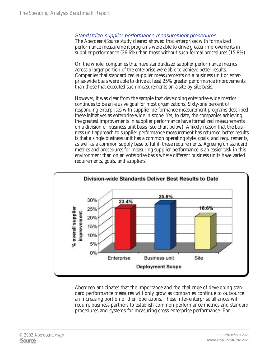#### Standardize supplier performance measurement procedures

The Aberdeen/*iSource* study cleared showed that enterprises with formalized performance measurement programs were able to drive greater improvements in supplier performance (26.6%) than those without such formal procedures (15.8%).

On the whole, companies that have standardized supplier performance metrics across a larger portion of the enterprise were able to achieve better results. Companies that standardized supplier measurements on a business unit or enterprise-wide basis were able to drive at least 25% greater performance improvements than those that executed such measurements on a site-by-site basis.

However, it was clear from the sample that developing enterprise-wide metrics continues to be an elusive goal for most organizations. Sixty-one percent of responding enterprises with supplier performance measurement programs described these initiatives as enterprise-wide in scope. Yet, to date, the companies achieving the greatest improvements in supplier performance have formalized measurements on a division or business unit basis (see chart below). A likely reason that the business unit approach to supplier performance measurement has returned better results is that a single business unit has a common operating style, goals, and requirements, as well as a common supply base to fulfill these requirements. Agreeing on standard metrics and procedures for measuring supplier performance is an easier task in this environment than on an enterprise basis where different business units have varied requirements, goals, and suppliers.



Aberdeen anticipates that the importance and the challenge of developing standard performance measures will only grow as companies continue to outsource an increasing portion of their operations. These inter-enterprise alliances will require business partners to establish common performance metrics and standard procedures and systems for measuring cross-enterprise performance. For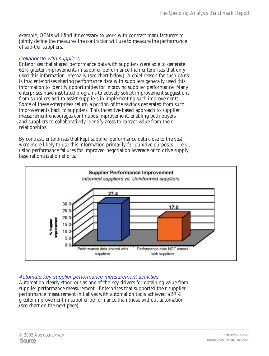example, OEMs will find it necessary to work with contract manufacturers to jointly define the measures the contractor will use to measure the performance of sub-tier suppliers.

#### Collaborate with suppliers

Enterprises that shared performance data with suppliers were able to generate 61% greater improvements in supplier performance than enterprises that only used this information internally (see chart below). A chief reason for such gains is that enterprises sharing performance data with suppliers generally used this information to identify opportunities for *improving* supplier performance. Many enterprises have instituted programs to actively solicit improvement suggestions from suppliers and to assist suppliers in implementing such improvements. Some of these enterprises return a portion of the savings generated from such improvements back to suppliers. This incentive-based approach to supplier measurement encourages continuous improvement, enabling both buyers and suppliers to collaboratively identify areas to extract value from their relationships.

By contrast, enterprises that kept supplier performance data close to the vest were more likely to use this information primarily for punitive purposes  $-$  e.g., using performance failures for improved negotiation leverage or to drive supply base rationalization efforts.



#### Automate key supplier performance measurement activities

Automation clearly stood out as one of the key drivers for obtaining value from supplier performance measurement. Enterprises that supported their supplier performance measurement initiatives with automation tools achieved a 57% greater improvement in supplier performance than those without automation (see chart on the next page).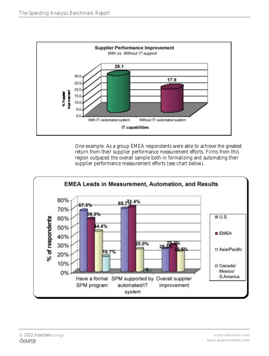

One example: As a group EMEA respondents were able to achieve the greatest return from their supplier performance measurement efforts. Firms from this region outpaced the overall sample both in formalizing and automating their supplier performance measurement efforts (see chart below).

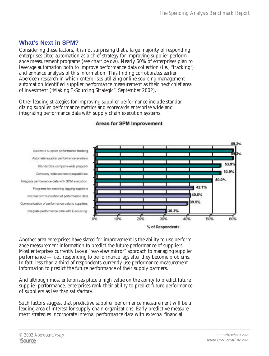#### **What's Next in SPM?**

Considering these factors, it is not surprising that a large majority of responding enterprises cited automation as a chief strategy for improving supplier performance measurement programs (see chart below). Nearly 60% of enterprises plan to leverage automation both to improve performance data collection (i.e., "tracking") and enhance analysis of this information. This finding corroborates earlier Aberdeen research in which enterprises utilizing online sourcing management automation identified supplier performance measurement as their next chief area of investment ("Making E-Sourcing Strategic"*;* September 2002).

Other leading strategies for improving supplier performance include standardizing supplier performance metrics and scorecards enterprise wide and integrating performance data with supply chain execution systems.



#### Areas for SPM Improvement

Another area enterprises have slated for improvement is the ability to use performance measurement information to predict the future performance of suppliers. Most enterprises currently take a "rear-view mirror" approach to managing supplier performance — i.e., responding to performance lags after they become problems. In fact, less than a third of respondents currently use performance measurement information to predict the future performance of their supply partners.

And although most enterprises place a high value on the ability to predict future supplier performance, enterprises rank their ability to predict future performance of suppliers as *less than satisfactory*.

Such factors suggest that predictive supplier performance measurement will be a leading area of interest for supply chain organizations. Early predictive measurement strategies incorporate internal performance data with external financial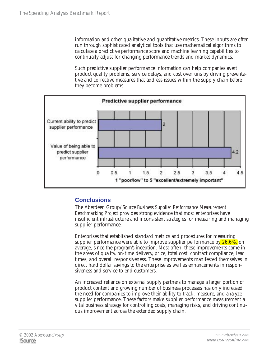information and other qualitative and quantitative metrics. These inputs are often run through sophisticated analytical tools that use mathematical algorithms to calculate a predictive performance score and machine learning capabilities to continually adjust for changing performance trends and market dynamics.

Such predictive supplier performance information can help companies avert product quality problems, service delays, and cost overruns by driving preventative and corrective measures that address issues within the supply chain *before* they become problems.



#### **Conclusions**

The Aberdeen Group/*iSource Business Supplier Performance Measurement Benchmarking Project* provides strong evidence that most enterprises have insufficient infrastructure and inconsistent strategies for measuring and managing supplier performance.

Enterprises that established standard metrics and procedures for measuring supplier performance were able to improve supplier performance by  $26.6\%$ , on average, since the program's inception. Most often, these improvements came in the areas of quality, on-time delivery, price, total cost, contract compliance, lead times, and overall responsiveness. These improvements manifested themselves in direct hard dollar savings to the enterprise as well as enhancements in responsiveness and service to end customers.

An increased reliance on external supply partners to manage a larger portion of product content and growing number of business processes has only increased the need for companies to improve their ability to track, measure, and analyze supplier performance. These factors make supplier performance measurement a vital business strategy for controlling costs, managing risks, and driving continuous improvement across the extended supply chain.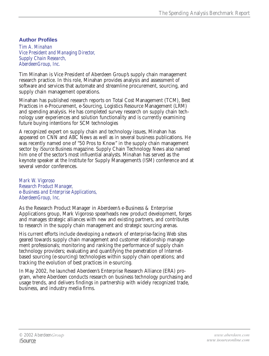#### **Author Profiles**

*Tim A. Minahan Vice President and Managing Director, Supply Chain Research, AberdeenGroup, Inc.*

Tim Minahan is Vice President of Aberdeen Group's supply chain management research practice. In this role, Minahan provides analysis and assessment of software and services that automate and streamline procurement, sourcing, and supply chain management operations.

Minahan has published research reports on Total Cost Management (TCM), Best Practices in e-Procurement, e-Sourcing, Logistics Resource Management (LRM) and spending analysis. He has completed survey research on supply chain technology user experiences and solution functionality and is currently examining future buying intentions for SCM technologies

A recognized expert on supply chain and technology issues, Minahan has appeared on CNN and ABC News as well as in several business publications. He was recently named one of "50 Pros to Know" in the supply chain management sector by *iSource Business* magazine. Supply Chain Technology News also named him one of the sector's most influential analysts. Minahan has served as the keynote speaker at the Institute for Supply Management's (ISM) conference and at several vendor conferences.

*Mark W. Vigoroso Research Product Manager, e-Business and Enterprise Applications, AberdeenGroup, Inc.*

As the Research Product Manager in Aberdeen's e-Business & Enterprise Applications group, Mark Vigoroso spearheads new product development, forges and manages strategic alliances with new and existing partners, and contributes to research in the supply chain management and strategic sourcing arenas.

His current efforts include developing a network of enterprise-facing Web sites geared towards supply chain management and customer relationship management professionals; monitoring and ranking the performance of supply chain technology providers; evaluating and quantifying the penetration of Internetbased sourcing (e-sourcing) technologies within supply chain operations; and tracking the evolution of best practices in e-sourcing.

In May 2002, he launched Aberdeen's Enterprise Research Alliance (ERA) program, where Aberdeen conducts research on business technology purchasing and usage trends, and delivers findings in partnership with widely recognized trade, business, and industry media firms.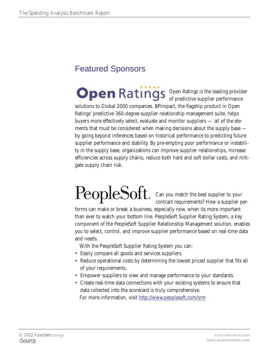### Featured Sponsors

Open Ratings is the leading provider of predictive supplier performance solutions to Global 2000 companies. BPImpact, the flagship product in Open Ratings' predictive 360-degree supplier relationship management suite, helps buyers more effectively select, evaluate and monitor suppliers — all of the elements that must be considered when making decisions about the supply base by going beyond inferences based on historical performance to predicting future supplier performance and stability. By pre-empting poor performance or instability in the supply base, organizations can improve supplier relationships, increase efficiencies across supply chains, reduce both hard and soft dollar costs, and mitigate supply chain risk.

# PeopleSoft Can you match the best supplier to your

contract requirements? How a supplier per-

forms can make or break a business, especially now, when its more important than ever to watch your bottom line. PeopleSoft Supplier Rating System, a key component of the PeopleSoft Supplier Relationship Management solution, enables you to select, control, and improve supplier performance based on real-time data and needs.

With the PeopleSoft Supplier Rating System you can:

- Easily compare all goods and services suppliers.
- Reduce operational costs by determining the lowest priced supplier that fits all of your requirements.
- Empower suppliers to view and manage performance to your standards.
- Create real-time data connections with your existing systems to ensure that data collected into the scorecard is truly comprehensive. For more information, visit http://www.peoplesoft.com/srm